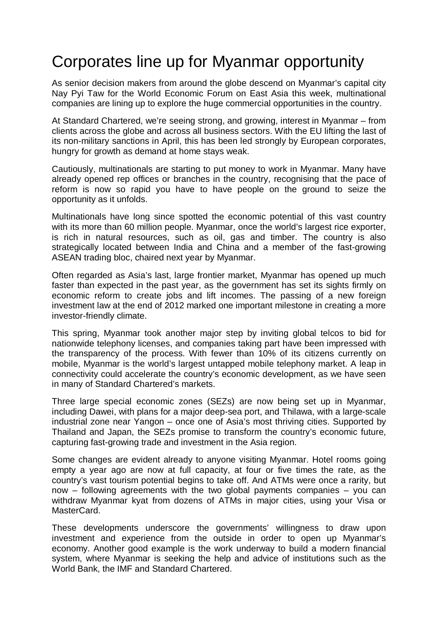## Corporates line up for Myanmar opportunity

As senior decision makers from around the globe descend on Myanmar's capital city Nay Pyi Taw for the World Economic Forum on East Asia this week, multinational companies are lining up to explore the huge commercial opportunities in the country.

At Standard Chartered, we're seeing strong, and growing, interest in Myanmar – from clients across the globe and across all business sectors. With the EU lifting the last of its non-military sanctions in April, this has been led strongly by European corporates, hungry for growth as demand at home stays weak.

Cautiously, multinationals are starting to put money to work in Myanmar. Many have already opened rep offices or branches in the country, recognising that the pace of reform is now so rapid you have to have people on the ground to seize the opportunity as it unfolds.

Multinationals have long since spotted the economic potential of this vast country with its more than 60 million people. Myanmar, once the world's largest rice exporter, is rich in natural resources, such as oil, gas and timber. The country is also strategically located between India and China and a member of the fast-growing ASEAN trading bloc, chaired next year by Myanmar.

Often regarded as Asia's last, large frontier market, Myanmar has opened up much faster than expected in the past year, as the government has set its sights firmly on economic reform to create jobs and lift incomes. The passing of a new foreign investment law at the end of 2012 marked one important milestone in creating a more investor-friendly climate.

This spring, Myanmar took another major step by inviting global telcos to bid for nationwide telephony licenses, and companies taking part have been impressed with the transparency of the process. With fewer than 10% of its citizens currently on mobile, Myanmar is the world's largest untapped mobile telephony market. A leap in connectivity could accelerate the country's economic development, as we have seen in many of Standard Chartered's markets.

Three large special economic zones (SEZs) are now being set up in Myanmar, including Dawei, with plans for a major deep-sea port, and Thilawa, with a large-scale industrial zone near Yangon – once one of Asia's most thriving cities. Supported by Thailand and Japan, the SEZs promise to transform the country's economic future, capturing fast-growing trade and investment in the Asia region.

Some changes are evident already to anyone visiting Myanmar. Hotel rooms going empty a year ago are now at full capacity, at four or five times the rate, as the country's vast tourism potential begins to take off. And ATMs were once a rarity, but now – following agreements with the two global payments companies – you can withdraw Myanmar kyat from dozens of ATMs in major cities, using your Visa or MasterCard.

These developments underscore the governments' willingness to draw upon investment and experience from the outside in order to open up Myanmar's economy. Another good example is the work underway to build a modern financial system, where Myanmar is seeking the help and advice of institutions such as the World Bank, the IMF and Standard Chartered.